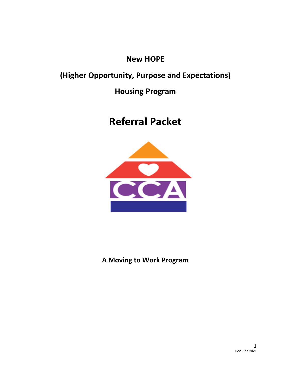# **New HOPE**

# **(Higher Opportunity, Purpose and Expectations)**

# **Housing Program**

# **Referral Packet**



**A Moving to Work Program**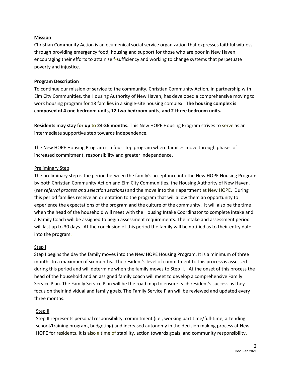#### **Mission**

Christian Community Action is an ecumenical social service organization that expresses faithful witness through providing emergency food, housing and support for those who are poor in New Haven, encouraging their efforts to attain self-sufficiency and working to change systems that perpetuate poverty and injustice.

#### **Program Description**

To continue our mission of service to the community, Christian Community Action, in partnership with Elm City Communities, the Housing Authority of New Haven, has developed a comprehensive moving to work housing program for 18 families in a single-site housing complex. **The housing complex is composed of 4 one bedroom units, 12 two bedroom units, and 2 three bedroom units.**

**Residents may stay for up to 24-36 months.** This New HOPE Housing Program strives to serve as an intermediate supportive step towards independence.

The New HOPE Housing Program is a four step program where families move through phases of increased commitment, responsibility and greater independence.

#### Preliminary Step

The preliminary step is the period between the family's acceptance into the New HOPE Housing Program by both Christian Community Action and Elm City Communities, the Housing Authority of New Haven, (*see referral process and selection sections*) and the move into their apartment at New HOPE. During this period families receive an orientation to the program that will allow them an opportunity to experience the expectations of the program and the culture of the community. It will also be the time when the head of the household will meet with the Housing Intake Coordinator to complete intake and a Family Coach will be assigned to begin assessment requirements. The intake and assessment period will last up to 30 days. At the conclusion of this period the family will be notified as to their entry date into the program.

#### Step I

Step I begins the day the family moves into the New HOPE Housing Program. It is a minimum of three months to a maximum of six months. The resident's level of commitment to this process is assessed during this period and will determine when the family moves to Step II. At the onset of this process the head of the household and an assigned family coach will meet to develop a comprehensive Family Service Plan. The Family Service Plan will be the road map to ensure each resident's success as they focus on their individual and family goals. The Family Service Plan will be reviewed and updated every three months.

### Step II

Step II represents personal responsibility, commitment (i.e., working part time/full-time, attending school*/*training program, budgeting) and increased autonomy in the decision making process at New HOPE for residents. It is also a time of stability, action towards goals, and community responsibility.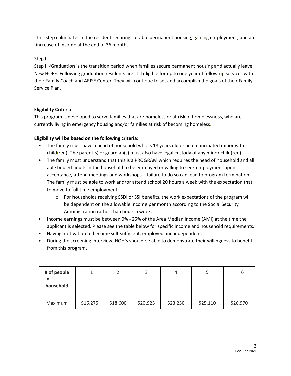This step culminates in the resident securing suitable permanent housing, gaining employment, and an increase of income at the end of 36 months.

# Step III

Step III*/*Graduation is the transition period when families secure permanent housing and actually leave New HOPE. Following graduation residents are still eligible for up to one year of follow up services with their Family Coach and ARISE Center. They will continue to set and accomplish the goals of their Family Service Plan.

# **Eligibility Criteria**

This program is developed to serve families that are homeless or at risk of homelessness, who are currently living in emergency housing and*/*or families at risk of becoming homeless.

# **Eligibility will be based on the following criteria:**

- The family must have a head of household who is 18 years old or an emancipated minor with child(ren). The parent(s) or guardian(s) must also have legal custody of any minor child(ren).
- The family must understand that this is a PROGRAM which requires the head of household and all able bodied adults in the household to be employed or willing to seek employment upon acceptance, attend meetings and workshops – failure to do so can lead to program termination. The family must be able to work and/or attend school 20 hours a week with the expectation that to move to full time employment.
	- o For households receiving SSDI or SSI benefits, the work expectations of the program will be dependent on the allowable income per month according to the Social Security Administration rather than hours a week.
- Income earnings must be between 0% 25% of the Area Median Income (AMI) at the time the applicant is selected. Please see the table below for specific income and household requirements.
- Having motivation to become self-sufficient, employed and independent.
- During the screening interview, HOH's should be able to demonstrate their willingness to benefit from this program.

| # of people<br>in<br>household |          |          |          |          |          | о        |
|--------------------------------|----------|----------|----------|----------|----------|----------|
| Maximum                        | \$16,275 | \$18,600 | \$20,925 | \$23,250 | \$25,110 | \$26,970 |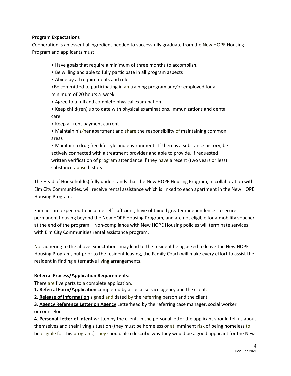#### **Program Expectations**

Cooperation is an essential ingredient needed to successfully graduate from the New HOPE Housing Program and applicants must:

- Have goals that require a minimum of three months to accomplish.
- Be willing and able to fully participate in all program aspects
- Abide by all requirements and rules
- •Be committed to participating in an training program and*/*or employed for a minimum of 20 hours a week
- Agree to a full and complete physical examination
- Keep child(ren) up to date with physical examinations, immunizations and dental care
- Keep all rent payment current
- Maintain his*/*her apartment and share the responsibility of maintaining common areas

• Maintain a drug free lifestyle and environment. If there is a substance history, be actively connected with a treatment provider and able to provide, if requested, written verification of program attendance if they have a recent (two years or less) substance abuse history

The Head of Household(s) fully understands that the New HOPE Housing Program, in collaboration with Elm City Communities, will receive rental assistance which is linked to each apartment in the New HOPE Housing Program.

Families are expected to become self-sufficient, have obtained greater independence to secure permanent housing beyond the New HOPE Housing Program, and are not eligible for a mobility voucher at the end of the program. Non-compliance with New HOPE Housing policies will terminate services with Elm City Communities rental assistance program.

Not adhering to the above expectations may lead to the resident being asked to leave the New HOPE Housing Program, but prior to the resident leaving, the Family Coach will make every effort to assist the resident in finding alternative living arrangements.

### **Referral Process/Application Requirements:**

There are five parts to a complete application.

- **1. Referral Form/Application** completed by a social service agency and the client.
- **2. Release of Information** signed and dated by the referring person and the client.
- **3. Agency Reference Letter on Agency** Letterhead by the referring case manager, social worker or counselor

**4. Personal Letter of Intent** written by the client. In the personal letter the applicant should tell us about themselves and their living situation (they must be homeless or at imminent risk of being homeless to be eligible for this program.) They should also describe why they would be a good applicant for the New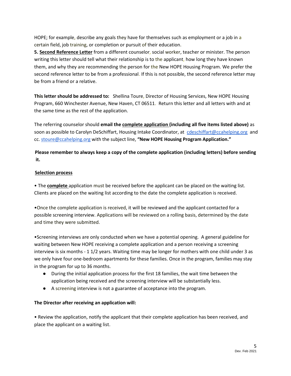HOPE; for example, describe any goals they have for themselves such as employment or a job in a certain field, job training, or completion or pursuit of their education.

**5. Second Reference Letter** from a different counselor, social worker, teacher or minister. The person writing this letter should tell what their relationship is to the applicant, how long they have known them, and why they are recommending the person for the New HOPE Housing Program. We prefer the second reference letter to be from a professional. If this is not possible, the second reference letter may be from a friend or a relative.

**This letter should be addressed to:** Shellina Toure, Director of Housing Services, New HOPE Housing Program, 660 Winchester Avenue, New Haven, CT 06511. Return this letter and all letters with and at the same time as the rest of the application.

The referring counselor should **email the complete application (including all five items listed above)** as soon as possible to Carolyn DeSchiffart, Housing Intake Coordinator, at [cdeschiffart@ccahelping.org](mailto:cdeschiffart@ccahelping.org) and cc[. stoure@ccahelping.org](mailto:stoure@ccahelping.org) with the subject line, **"New HOPE Housing Program Application."**

# **Please remember to always keep a copy of the complete application (including letters) before sending it.**

### **Selection process**

• The **complete** application must be received before the applicant can be placed on the waiting list. Clients are placed on the waiting list according to the date the complete application is received.

•Once the complete application is received, it will be reviewed and the applicant contacted for a possible screening interview. Applications will be reviewed on a rolling basis, determined by the date and time they were submitted.

•Screening interviews are only conducted when we have a potential opening. A general guideline for waiting between New HOPE receiving a complete application and a person receiving a screening interview is six months - 1 1/2 years. Waiting time may be longer for mothers with one child under 3 as we only have four one-bedroom apartments for these families. Once in the program, families may stay in the program for up to 36 months.

- During the initial application process for the first 18 families, the wait time between the application being received and the screening interview will be substantially less.
- A screening interview is not a guarantee of acceptance into the program.

### **The Director after receiving an application will:**

• Review the application, notify the applicant that their complete application has been received, and place the applicant on a waiting list.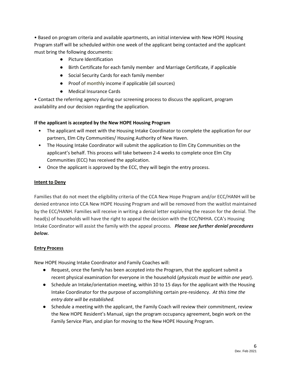• Based on program criteria and available apartments, an initial interview with New HOPE Housing Program staff will be scheduled within one week of the applicant being contacted and the applicant must bring the following documents:

- Picture Identification
- Birth Certificate for each family member and Marriage Certificate, if applicable
- Social Security Cards for each family member
- Proof of monthly income if applicable (all sources)
- Medical Insurance Cards

• Contact the referring agency during our screening process to discuss the applicant, program availability and our decision regarding the application.

# **If the applicant is accepted by the New HOPE Housing Program**

- The applicant will meet with the Housing Intake Coordinator to complete the application for our partners, Elm City Communities/ Housing Authority of New Haven.
- The Housing Intake Coordinator will submit the application to Elm City Communities on the applicant's behalf. This process will take between 2-4 weeks to complete once Elm City Communities (ECC) has received the application.
- Once the applicant is approved by the ECC, they will begin the entry process.

### **Intent to Deny**

Families that do not meet the eligibility criteria of the CCA New Hope Program and/or ECC/HANH will be denied entrance into CCA New HOPE Housing Program and will be removed from the waitlist maintained by the ECC/HANH. Families will receive in writing a denial letter explaining the reason for the denial. The head(s) of households will have the right to appeal the decision with the ECC/NHHA. CCA's Housing Intake Coordinator will assist the family with the appeal process. *Please see further denial procedures below.*

### **Entry Process**

New HOPE Housing Intake Coordinator and Family Coaches will:

- Request, once the family has been accepted into the Program, that the applicant submit a recent physical examination for everyone in the household (*physicals must be within one year*).
- Schedule an Intake/orientation meeting, within 10 to 15 days for the applicant with the Housing Intake Coordinator for the purpose of accomplishing certain pre-residency. *At this time the entry date will be established.*
- Schedule a meeting with the applicant, the Family Coach will review their commitment, review the New HOPE Resident's Manual, sign the program occupancy agreement, begin work on the Family Service Plan, and plan for moving to the New HOPE Housing Program.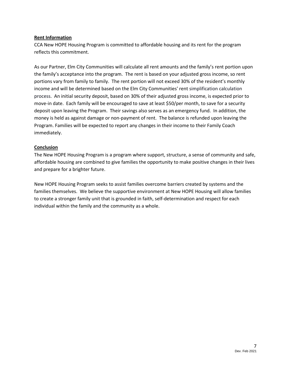#### **Rent Information**

CCA New HOPE Housing Program is committed to affordable housing and its rent for the program reflects this commitment.

As our Partner, Elm City Communities will calculate all rent amounts and the family's rent portion upon the family's acceptance into the program. The rent is based on your adjusted gross income, so rent portions vary from family to family. The rent portion will not exceed 30% of the resident's monthly income and will be determined based on the Elm City Communities' rent simplification calculation process. An initial security deposit, based on 30% of their adjusted gross income, is expected prior to move-in date. Each family will be encouraged to save at least \$50/per month, to save for a security deposit upon leaving the Program. Their savings also serves as an emergency fund. In addition, the money is held as against damage or non-payment of rent. The balance is refunded upon leaving the Program. Families will be expected to report any changes in their income to their Family Coach immediately.

### **Conclusion**

The New HOPE Housing Program is a program where support, structure, a sense of community and safe, affordable housing are combined to give families the opportunity to make positive changes in their lives and prepare for a brighter future.

New HOPE Housing Program seeks to assist families overcome barriers created by systems and the families themselves. We believe the supportive environment at New HOPE Housing will allow families to create a stronger family unit that is grounded in faith, self-determination and respect for each individual within the family and the community as a whole.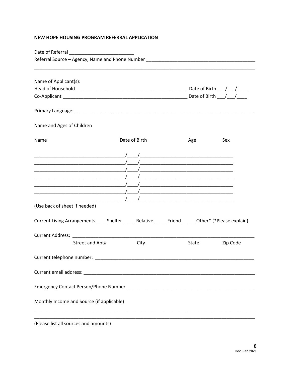# NEW HOPE HOUSING PROGRAM REFERRAL APPLICATION

| Name of Applicant(s):                                                                                                                                                                                                                                                                                               |               |       |          |  |  |
|---------------------------------------------------------------------------------------------------------------------------------------------------------------------------------------------------------------------------------------------------------------------------------------------------------------------|---------------|-------|----------|--|--|
|                                                                                                                                                                                                                                                                                                                     |               |       |          |  |  |
|                                                                                                                                                                                                                                                                                                                     |               |       |          |  |  |
|                                                                                                                                                                                                                                                                                                                     |               |       |          |  |  |
| Name and Ages of Children                                                                                                                                                                                                                                                                                           |               |       |          |  |  |
| Name                                                                                                                                                                                                                                                                                                                | Date of Birth | Age   | Sex      |  |  |
|                                                                                                                                                                                                                                                                                                                     |               |       |          |  |  |
|                                                                                                                                                                                                                                                                                                                     |               |       |          |  |  |
| $\frac{1}{2}$ $\frac{1}{2}$ $\frac{1}{2}$ $\frac{1}{2}$ $\frac{1}{2}$ $\frac{1}{2}$ $\frac{1}{2}$ $\frac{1}{2}$ $\frac{1}{2}$ $\frac{1}{2}$ $\frac{1}{2}$ $\frac{1}{2}$ $\frac{1}{2}$ $\frac{1}{2}$ $\frac{1}{2}$ $\frac{1}{2}$ $\frac{1}{2}$ $\frac{1}{2}$ $\frac{1}{2}$ $\frac{1}{2}$ $\frac{1}{2}$ $\frac{1}{2}$ |               |       |          |  |  |
|                                                                                                                                                                                                                                                                                                                     |               |       |          |  |  |
|                                                                                                                                                                                                                                                                                                                     |               |       |          |  |  |
|                                                                                                                                                                                                                                                                                                                     |               |       |          |  |  |
| (Use back of sheet if needed)                                                                                                                                                                                                                                                                                       |               |       |          |  |  |
| Current Living Arrangements _____Shelter ______Relative ______Friend ______ Other* (*Please explain)                                                                                                                                                                                                                |               |       |          |  |  |
|                                                                                                                                                                                                                                                                                                                     |               |       |          |  |  |
| Street and Apt#                                                                                                                                                                                                                                                                                                     | City          | State | Zip Code |  |  |
| Current telephone number:                                                                                                                                                                                                                                                                                           |               |       |          |  |  |
|                                                                                                                                                                                                                                                                                                                     |               |       |          |  |  |
|                                                                                                                                                                                                                                                                                                                     |               |       |          |  |  |
| Monthly Income and Source (if applicable)                                                                                                                                                                                                                                                                           |               |       |          |  |  |
| (Please list all sources and amounts)                                                                                                                                                                                                                                                                               |               |       |          |  |  |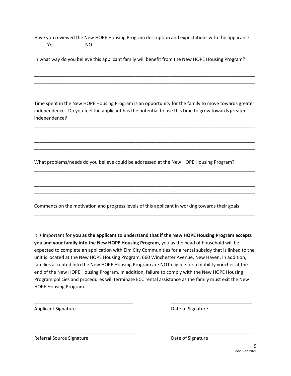Have you reviewed the New HOPE Housing Program description and expectations with the applicant? \_\_\_\_\_Yes \_\_\_\_\_\_ NO

In what way do you believe this applicant family will benefit from the New HOPE Housing Program?

Time spent in the New HOPE Housing Program is an opportunity for the family to move towards greater independence. Do you feel the applicant has the potential to use this time to grow towards greater independence?

\_\_\_\_\_\_\_\_\_\_\_\_\_\_\_\_\_\_\_\_\_\_\_\_\_\_\_\_\_\_\_\_\_\_\_\_\_\_\_\_\_\_\_\_\_\_\_\_\_\_\_\_\_\_\_\_\_\_\_\_\_\_\_\_\_\_\_\_\_\_\_\_\_\_\_\_\_\_\_\_\_\_\_\_\_ \_\_\_\_\_\_\_\_\_\_\_\_\_\_\_\_\_\_\_\_\_\_\_\_\_\_\_\_\_\_\_\_\_\_\_\_\_\_\_\_\_\_\_\_\_\_\_\_\_\_\_\_\_\_\_\_\_\_\_\_\_\_\_\_\_\_\_\_\_\_\_\_\_\_\_\_\_\_\_\_\_\_\_\_\_ \_\_\_\_\_\_\_\_\_\_\_\_\_\_\_\_\_\_\_\_\_\_\_\_\_\_\_\_\_\_\_\_\_\_\_\_\_\_\_\_\_\_\_\_\_\_\_\_\_\_\_\_\_\_\_\_\_\_\_\_\_\_\_\_\_\_\_\_\_\_\_\_\_\_\_\_\_\_\_\_\_\_\_\_\_ \_\_\_\_\_\_\_\_\_\_\_\_\_\_\_\_\_\_\_\_\_\_\_\_\_\_\_\_\_\_\_\_\_\_\_\_\_\_\_\_\_\_\_\_\_\_\_\_\_\_\_\_\_\_\_\_\_\_\_\_\_\_\_\_\_\_\_\_\_\_\_\_\_\_\_\_\_\_\_\_\_\_\_\_\_

\_\_\_\_\_\_\_\_\_\_\_\_\_\_\_\_\_\_\_\_\_\_\_\_\_\_\_\_\_\_\_\_\_\_\_\_\_\_\_\_\_\_\_\_\_\_\_\_\_\_\_\_\_\_\_\_\_\_\_\_\_\_\_\_\_\_\_\_\_\_\_\_\_\_\_\_\_\_\_\_\_\_\_\_\_ \_\_\_\_\_\_\_\_\_\_\_\_\_\_\_\_\_\_\_\_\_\_\_\_\_\_\_\_\_\_\_\_\_\_\_\_\_\_\_\_\_\_\_\_\_\_\_\_\_\_\_\_\_\_\_\_\_\_\_\_\_\_\_\_\_\_\_\_\_\_\_\_\_\_\_\_\_\_\_\_\_\_\_\_\_ \_\_\_\_\_\_\_\_\_\_\_\_\_\_\_\_\_\_\_\_\_\_\_\_\_\_\_\_\_\_\_\_\_\_\_\_\_\_\_\_\_\_\_\_\_\_\_\_\_\_\_\_\_\_\_\_\_\_\_\_\_\_\_\_\_\_\_\_\_\_\_\_\_\_\_\_\_\_\_\_\_\_\_\_\_ \_\_\_\_\_\_\_\_\_\_\_\_\_\_\_\_\_\_\_\_\_\_\_\_\_\_\_\_\_\_\_\_\_\_\_\_\_\_\_\_\_\_\_\_\_\_\_\_\_\_\_\_\_\_\_\_\_\_\_\_\_\_\_\_\_\_\_\_\_\_\_\_\_\_\_\_\_\_\_\_\_\_\_\_\_

\_\_\_\_\_\_\_\_\_\_\_\_\_\_\_\_\_\_\_\_\_\_\_\_\_\_\_\_\_\_\_\_\_\_\_\_\_\_\_\_\_\_\_\_\_\_\_\_\_\_\_\_\_\_\_\_\_\_\_\_\_\_\_\_\_\_\_\_\_\_\_\_\_\_\_\_\_\_\_\_\_\_\_\_\_ \_\_\_\_\_\_\_\_\_\_\_\_\_\_\_\_\_\_\_\_\_\_\_\_\_\_\_\_\_\_\_\_\_\_\_\_\_\_\_\_\_\_\_\_\_\_\_\_\_\_\_\_\_\_\_\_\_\_\_\_\_\_\_\_\_\_\_\_\_\_\_\_\_\_\_\_\_\_\_\_\_\_\_\_\_

\_\_\_\_\_\_\_\_\_\_\_\_\_\_\_\_\_\_\_\_\_\_\_\_\_\_\_\_\_\_\_\_\_\_\_\_\_\_\_\_\_\_\_\_\_\_\_\_\_\_\_\_\_\_\_\_\_\_\_\_\_\_\_\_\_\_\_\_\_\_\_\_\_\_\_\_\_\_\_\_\_\_\_\_\_ \_\_\_\_\_\_\_\_\_\_\_\_\_\_\_\_\_\_\_\_\_\_\_\_\_\_\_\_\_\_\_\_\_\_\_\_\_\_\_\_\_\_\_\_\_\_\_\_\_\_\_\_\_\_\_\_\_\_\_\_\_\_\_\_\_\_\_\_\_\_\_\_\_\_\_\_\_\_\_\_\_\_\_\_\_ \_\_\_\_\_\_\_\_\_\_\_\_\_\_\_\_\_\_\_\_\_\_\_\_\_\_\_\_\_\_\_\_\_\_\_\_\_\_\_\_\_\_\_\_\_\_\_\_\_\_\_\_\_\_\_\_\_\_\_\_\_\_\_\_\_\_\_\_\_\_\_\_\_\_\_\_\_\_\_\_\_\_\_\_\_

What problems/needs do you believe could be addressed at the New HOPE Housing Program?

Comments on the motivation and progress levels of this applicant in working towards their goals

It is important for **you as the applicant to understand that if the New HOPE Housing Program accepts you and your family into the New HOPE Housing Program,** you as the head of household will be expected to complete an application with Elm City Communities for a rental subsidy that is linked to the unit is located at the New HOPE Housing Program, 660 Winchester Avenue, New Haven. In addition, families accepted into the New HOPE Housing Program are NOT eligible for a mobility voucher at the end of the New HOPE Housing Program. In addition, failure to comply with the New HOPE Housing Program policies and procedures will terminate ECC rental assistance as the family must exit the New HOPE Housing Program.

\_\_\_\_\_\_\_\_\_\_\_\_\_\_\_\_\_\_\_\_\_\_\_\_\_\_\_\_\_\_\_\_\_\_\_\_\_\_ \_\_\_\_\_\_\_\_\_\_\_\_\_\_\_\_\_\_\_\_\_\_\_\_\_\_\_\_\_\_\_

\_\_\_\_\_\_\_\_\_\_\_\_\_\_\_\_\_\_\_\_\_\_\_\_\_\_\_\_\_\_\_\_\_\_\_\_\_\_\_ \_\_\_\_\_\_\_\_\_\_\_\_\_\_\_\_\_\_\_\_\_\_\_\_\_\_\_\_\_\_\_

Applicant Signature **Applicant Signature Date of Signature** 

Referral Source Signature **Date of Signature** Date of Signature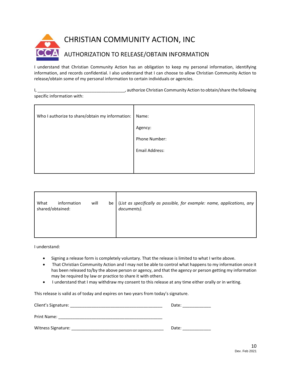

I understand that Christian Community Action has an obligation to keep my personal information, identifying information, and records confidential. I also understand that I can choose to allow Christian Community Action to release/obtain some of my personal information to certain individuals or agencies.

I, \_\_\_\_\_\_\_\_\_\_\_\_\_\_\_\_\_\_\_\_\_\_\_\_\_\_\_\_\_\_\_\_\_\_\_\_\_, authorize Christian Community Action to obtain/share the following specific information with:

| Who I authorize to share/obtain my information: | Name:          |
|-------------------------------------------------|----------------|
|                                                 | Agency:        |
|                                                 | Phone Number:  |
|                                                 | Email Address: |
|                                                 |                |
|                                                 |                |

| What<br>information<br>shared/obtained: | will | be | (List as specifically as possible, for example: name, applications, any<br>documents). |
|-----------------------------------------|------|----|----------------------------------------------------------------------------------------|
|                                         |      |    |                                                                                        |

I understand:

- Signing a release form is completely voluntary. That the release is limited to what I write above.
- That Christian Community Action and I may not be able to control what happens to my information once it has been released to/by the above person or agency, and that the agency or person getting my information may be required by law or practice to share it with others.
- I understand that I may withdraw my consent to this release at any time either orally or in writing.

This release is valid as of today and expires on two years from today's signature.

| Client's Signature: | Date: |
|---------------------|-------|
| Print Name:         |       |
| Witness Signature:  | Date: |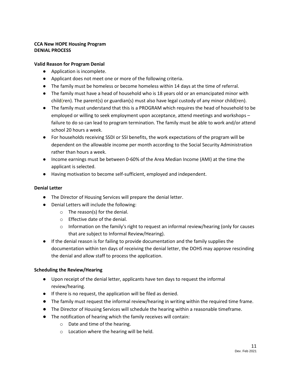## **CCA New HOPE Housing Program DENIAL PROCESS**

## **Valid Reason for Program Denial**

- Application is incomplete.
- Applicant does not meet one or more of the following criteria.
- The family must be homeless or become homeless within 14 days at the time of referral.
- The family must have a head of household who is 18 years old or an emancipated minor with child(ren). The parent(s) or guardian(s) must also have legal custody of any minor child(ren).
- The family must understand that this is a PROGRAM which requires the head of household to be employed or willing to seek employment upon acceptance, attend meetings and workshops – failure to do so can lead to program termination. The family must be able to work and/or attend school 20 hours a week.
- For households receiving SSDI or SSI benefits, the work expectations of the program will be dependent on the allowable income per month according to the Social Security Administration rather than hours a week.
- Income earnings must be between 0-60% of the Area Median Income (AMI) at the time the applicant is selected.
- Having motivation to become self-sufficient, employed and independent.

### **Denial Letter**

- The Director of Housing Services will prepare the denial letter.
- Denial Letters will include the following:
	- $\circ$  The reason(s) for the denial.
	- o Effective date of the denial.
	- o Information on the family's right to request an informal review/hearing (only for causes that are subject to Informal Review/Hearing).
- If the denial reason is for failing to provide documentation and the family supplies the documentation within ten days of receiving the denial letter, the DOHS may approve rescinding the denial and allow staff to process the application.

### **Scheduling the Review/Hearing**

- Upon receipt of the denial letter, applicants have ten days to request the informal review/hearing.
- If there is no request, the application will be filed as denied.
- The family must request the informal review/hearing in writing within the required time frame.
- The Director of Housing Services will schedule the hearing within a reasonable timeframe.
- The notification of hearing which the family receives will contain:
	- o Date and time of the hearing.
	- o Location where the hearing will be held.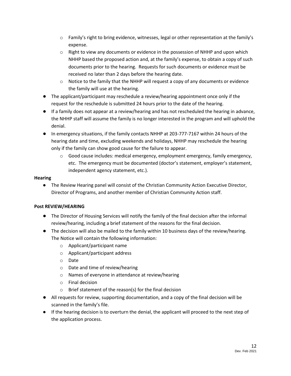- $\circ$  Family's right to bring evidence, witnesses, legal or other representation at the family's expense.
- $\circ$  Right to view any documents or evidence in the possession of NHHP and upon which NHHP based the proposed action and, at the family's expense, to obtain a copy of such documents prior to the hearing. Requests for such documents or evidence must be received no later than 2 days before the hearing date.
- $\circ$  Notice to the family that the NHHP will request a copy of any documents or evidence the family will use at the hearing.
- The applicant/participant may reschedule a review/hearing appointment once only if the request for the reschedule is submitted 24 hours prior to the date of the hearing.
- If a family does not appear at a review/hearing and has not rescheduled the hearing in advance, the NHHP staff will assume the family is no longer interested in the program and will uphold the denial.
- In emergency situations, if the family contacts NHHP at 203-777-7167 within 24 hours of the hearing date and time, excluding weekends and holidays, NHHP may reschedule the hearing only if the family can show good cause for the failure to appear.
	- $\circ$  Good cause includes: medical emergency, employment emergency, family emergency, etc. The emergency must be documented (doctor's statement, employer's statement, independent agency statement, etc.).

# **Hearing**

● The Review Hearing panel will consist of the Christian Community Action Executive Director, Director of Programs, and another member of Christian Community Action staff.

# **Post REVIEW/HEARING**

- The Director of Housing Services will notify the family of the final decision after the informal review/hearing, including a brief statement of the reasons for the final decision.
- The decision will also be mailed to the family within 10 business days of the review/hearing. The Notice will contain the following information:
	- o Applicant/participant name
	- o Applicant/participant address
	- o Date
	- o Date and time of review/hearing
	- o Names of everyone in attendance at review/hearing
	- o Final decision
	- o Brief statement of the reason(s) for the final decision
- All requests for review, supporting documentation, and a copy of the final decision will be scanned in the family's file.
- If the hearing decision is to overturn the denial, the applicant will proceed to the next step of the application process.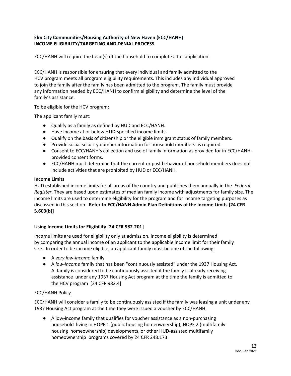## **Elm City Communities/Housing Authority of New Haven (ECC/HANH) INCOME ELIGIBILITY/TARGETING AND DENIAL PROCESS**

ECC/HANH will require the head(s) of the household to complete a full application.

ECC/HANH is responsible for ensuring that every individual and family admitted to the HCV program meets all program eligibility requirements. This includes any individual approved to join the family after the family has been admitted to the program. The family must provide any information needed by ECC/HANH to confirm eligibility and determine the level of the family's assistance.

To be eligible for the HCV program:

The applicant family must:

- Qualify as a family as defined by HUD and ECC/HANH.
- Have income at or below HUD-specified income limits.
- Qualify on the basis of citizenship or the eligible immigrant status of family members.
- Provide social security number information for household members as required.
- Consent to ECC/HANH's collection and use of family information as provided for in ECC/HANHprovided consent forms.
- ECC/HANH must determine that the current or past behavior of household members does not include activities that are prohibited by HUD or ECC/HANH.

#### **Income Limits**

HUD established income limits for all areas of the country and publishes them annually in the *Federal Register*. They are based upon estimates of median family income with adjustments for family size. The income limits are used to determine eligibility for the program and for income targeting purposes as discussed in this section. **Refer to ECC/HANH Admin Plan Definitions of the Income Limits [24 CFR 5.603(b)]** 

### **Using Income Limits for Eligibility [24 CFR 982.201]**

Income limits are used for eligibility only at admission. Income eligibility is determined by comparing the annual income of an applicant to the applicable income limit for their family size. In order to be income eligible, an applicant family must be one of the following:

- A *very low-income* family
- A *low-income* family that has been "continuously assisted" under the 1937 Housing Act. A family is considered to be continuously assisted if the family is already receiving assistance under any 1937 Housing Act program at the time the family is admitted to the HCV program [24 CFR 982.4]

### ECC/HANH Policy

ECC/HANH will consider a family to be continuously assisted if the family was leasing a unit under any 1937 Housing Act program at the time they were issued a voucher by ECC/HANH.

● A low-income family that qualifies for voucher assistance as a non-purchasing household living in HOPE 1 (public housing homeownership), HOPE 2 (multifamily housing homeownership) developments, or other HUD-assisted multifamily homeownership programs covered by 24 CFR 248.173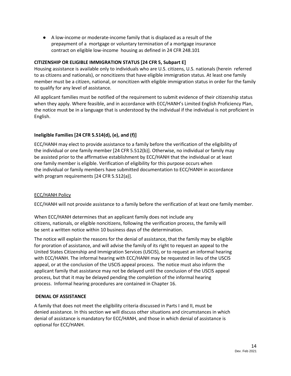● A low-income or moderate-income family that is displaced as a result of the prepayment of a mortgage or voluntary termination of a mortgage insurance contract on eligible low-income housing as defined in 24 CFR 248.101

#### **CITIZENSHIP OR ELIGIBLE IMMIGRATION STATUS [24 CFR 5, Subpart E]**

Housing assistance is available only to individuals who are U.S. citizens, U.S. nationals (herein referred to as citizens and nationals), or noncitizens that have eligible immigration status. At least one family member must be a citizen, national, or noncitizen with eligible immigration status in order for the family to qualify for any level of assistance.

All applicant families must be notified of the requirement to submit evidence of their citizenship status when they apply. Where feasible, and in accordance with ECC/HANH's Limited English Proficiency Plan, the notice must be in a language that is understood by the individual if the individual is not proficient in English.

# **Ineligible Families [24 CFR 5.514(d), (e), and (f)]**

ECC/HANH may elect to provide assistance to a family before the verification of the eligibility of the individual or one family member [24 CFR 5.512(b)]. Otherwise, no individual or family may be assisted prior to the affirmative establishment by ECC/HANH that the individual or at least one family member is eligible. Verification of eligibility for this purpose occurs when the individual or family members have submitted documentation to ECC/HANH in accordance with program requirements [24 CFR 5.512(a)].

### ECC/HANH Policy

ECC/HANH will not provide assistance to a family before the verification of at least one family member.

When ECC/HANH determines that an applicant family does not include any citizens, nationals, or eligible noncitizens, following the verification process, the family will be sent a written notice within 10 business days of the determination.

The notice will explain the reasons for the denial of assistance, that the family may be eligible for proration of assistance, and will advise the family of its right to request an appeal to the United States Citizenship and Immigration Services (USCIS), or to request an informal hearing with ECC/HANH. The informal hearing with ECC/HANH may be requested in lieu of the USCIS appeal, or at the conclusion of the USCIS appeal process. The notice must also inform the applicant family that assistance may not be delayed until the conclusion of the USCIS appeal process, but that it may be delayed pending the completion of the informal hearing process. Informal hearing procedures are contained in Chapter 16.

#### **DENIAL OF ASSISTANCE**

A family that does not meet the eligibility criteria discussed in Parts I and II, must be denied assistance. In this section we will discuss other situations and circumstances in which denial of assistance is mandatory for ECC/HANH, and those in which denial of assistance is optional for ECC/HANH.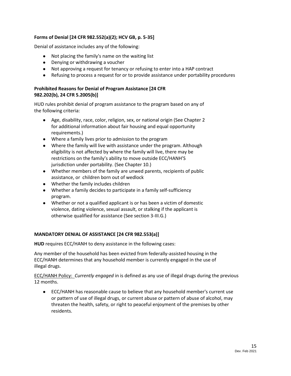## **Forms of Denial [24 CFR 982.552(a)(2); HCV GB, p. 5-35]**

Denial of assistance includes any of the following:

- Not placing the family's name on the waiting list
- Denying or withdrawing a voucher
- Not approving a request for tenancy or refusing to enter into a HAP contract
- Refusing to process a request for or to provide assistance under portability procedures

## **Prohibited Reasons for Denial of Program Assistance [24 CFR 982.202(b), 24 CFR 5.2005(b)]**

HUD rules prohibit denial of program assistance to the program based on any of the following criteria:

- Age, disability, race, color, religion, sex, or national origin (See Chapter 2 for additional information about fair housing and equal opportunity requirements.)
- Where a family lives prior to admission to the program
- Where the family will live with assistance under the program. Although eligibility is not affected by where the family will live, there may be restrictions on the family's ability to move outside ECC/HANH'S jurisdiction under portability. (See Chapter 10.)
- Whether members of the family are unwed parents, recipients of public assistance, or children born out of wedlock
- Whether the family includes children
- Whether a family decides to participate in a family self-sufficiency program.
- Whether or not a qualified applicant is or has been a victim of domestic violence, dating violence, sexual assault, or stalking if the applicant is otherwise qualified for assistance (See section 3-III.G.)

### **MANDATORY DENIAL OF ASSISTANCE [24 CFR 982.553(a)]**

**HUD** requires ECC/HANH to deny assistance in the following cases:

Any member of the household has been evicted from federally-assisted housing in the ECC/HANH determines that any household member is currently engaged in the use of illegal drugs.

ECC/HANH Policy: *Currently engaged* in is defined as any use of illegal drugs during the previous 12 months.

● ECC/HANH has reasonable cause to believe that any household member's current use or pattern of use of illegal drugs, or current abuse or pattern of abuse of alcohol, may threaten the health, safety, or right to peaceful enjoyment of the premises by other residents.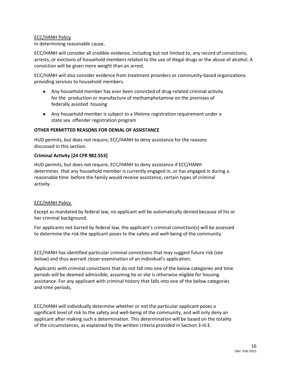#### ECC/HANH Policy

In determining reasonable cause,

ECC/HANH will consider all credible evidence, including but not limited to, any record of convictions, arrests, or evictions of household members related to the use of illegal drugs or the abuse of alcohol. A conviction will be given more weight than an arrest.

ECC/HANH will also consider evidence from treatment providers or community-based organizations providing services to household members.

- Any household member has ever been convicted of drug-related criminal activity for the production or manufacture of methamphetamine on the premises of federally assisted housing
- Any household member is subject to a lifetime registration requirement under a state sex offender registration program

#### **OTHER PERMITTED REASONS FOR DENIAL OF ASSISTANCE**

HUD permits, but does not require, ECC/HANH to deny assistance for the reasons discussed in this section.

#### **Criminal Activity [24 CFR 982.553]**

HUD permits, but does not require, ECC/HANH to deny assistance if ECC/HANH determines that any household member is currently engaged in, or has engaged in during a reasonable time before the family would receive assistance, certain types of criminal activity.

#### ECC/HANH Policy

Except as mandated by federal law, no applicant will be automatically denied because of his or her criminal background.

For applicants not barred by federal law, the applicant's criminal conviction(s) will be assessed to determine the risk the applicant poses to the safety and well-being of the community.

ECC/HANH has identified particular criminal convictions that may suggest future risk (see below) and thus warrant closer examination of an individual's application.

Applicants with criminal convictions that do not fall into one of the below categories and time periods will be deemed admissible, assuming he or she is otherwise eligible for housing assistance. For any applicant with criminal history that falls into one of the below categories and time periods,

ECC/HANH will individually determine whether or not the particular applicant poses a significant level of risk to the safety and well-being of the community, and will only deny an applicant after making such a determination. This determination will be based on the totality of the circumstances, as explained by the written criteria provided in Section 3-III.E.